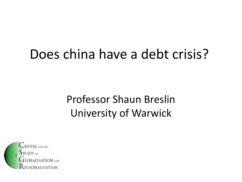# Does china have a debt crisis?

# Professor Shaun Breslin University of Warwick

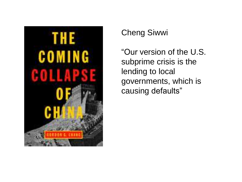

### Cheng Siwwi

"Our version of the U.S. subprime crisis is the lending to local governments, which is causing defaults"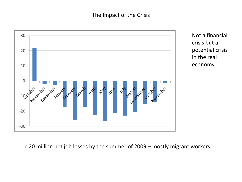#### The Impact of the Crisis



Not a financial crisis but a potential crisis in the real economy

#### c.20 million net job losses by the summer of 2009 – mostly migrant workers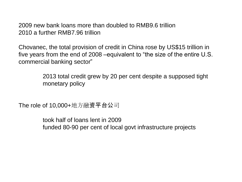2009 new bank loans more than doubled to RMB9.6 trillion 2010 a further RMB7.96 trillion

Chovanec, the total provision of credit in China rose by US\$15 trillion in five years from the end of 2008 –equivalent to "the size of the entire U.S. commercial banking sector"

> 2013 total credit grew by 20 per cent despite a supposed tight monetary policy

The role of 10,000+地方融资平台公司

took half of loans lent in 2009 funded 80-90 per cent of local govt infrastructure projects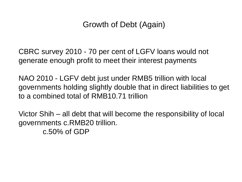## Growth of Debt (Again)

CBRC survey 2010 - 70 per cent of LGFV loans would not generate enough profit to meet their interest payments

NAO 2010 - LGFV debt just under RMB5 trillion with local governments holding slightly double that in direct liabilities to get to a combined total of RMB10.71 trillion

Victor Shih – all debt that will become the responsibility of local governments c.RMB20 trillion.

c.50% of GDP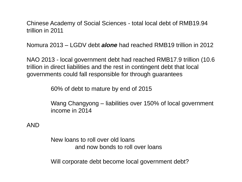Chinese Academy of Social Sciences - total local debt of RMB19.94 trillion in 2011

Nomura 2013 – LGDV debt *alone* had reached RMB19 trillion in 2012

NAO 2013 - local government debt had reached RMB17.9 trillion (10.6 trillion in direct liabilities and the rest in contingent debt that local governments could fall responsible for through guarantees

60% of debt to mature by end of 2015

Wang Changyong – liabilities over 150% of local government income in 2014

AND

New loans to roll over old loans and now bonds to roll over loans

Will corporate debt become local government debt?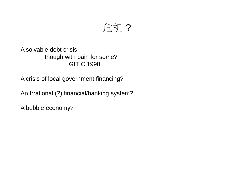## 危机 ?

A solvable debt crisis though with pain for some? GITIC 1998

A crisis of local government financing?

An Irrational (?) financial/banking system?

A bubble economy?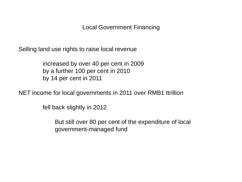Local Government Financing

Selling land use rights to raise local revenue

increased by over 40 per cent in 2009 by a further 100 per cent in 2010 by 14 per cent in 2011

NET income for local governments in 2011 over RMB1 ttrillion

fell back slightly in 2012

But still over 80 per cent of the expenditure of local government-managed fund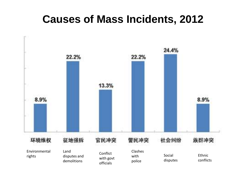# **Causes of Mass Incidents, 2012**

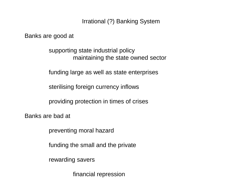### Irrational (?) Banking System

Banks are good at

supporting state industrial policy maintaining the state owned sector

funding large as well as state enterprises

sterilising foreign currency inflows

providing protection in times of crises

Banks are bad at

preventing moral hazard

funding the small and the private

rewarding savers

financial repression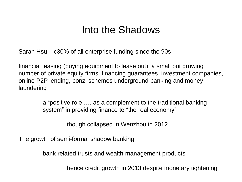## Into the Shadows

Sarah Hsu – c30% of all enterprise funding since the 90s

financial leasing (buying equipment to lease out), a small but growing number of private equity firms, financing guarantees, investment companies, online P2P lending, ponzi schemes underground banking and money laundering

> a "positive role …. as a complement to the traditional banking system" in providing finance to "the real economy"

> > though collapsed in Wenzhou in 2012

The growth of semi-formal shadow banking

bank related trusts and wealth management products

hence credit growth in 2013 despite monetary tightening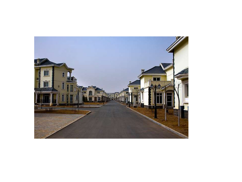